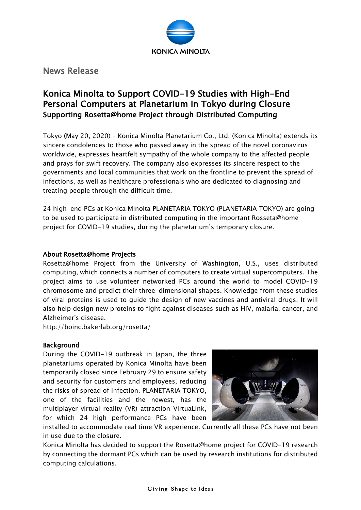

News Release

## Konica Minolta to Support COVID-19 Studies with High-End Personal Computers at Planetarium in Tokyo during Closure Supporting Rosetta@home Project through Distributed Computing

Tokyo (May 20, 2020) – Konica Minolta Planetarium Co., Ltd. (Konica Minolta) extends its sincere condolences to those who passed away in the spread of the novel coronavirus worldwide, expresses heartfelt sympathy of the whole company to the affected people and prays for swift recovery. The company also expresses its sincere respect to the governments and local communities that work on the frontline to prevent the spread of infections, as well as healthcare professionals who are dedicated to diagnosing and treating people through the difficult time.

24 high-end PCs at Konica Minolta PLANETARIA TOKYO (PLANETARIA TOKYO) are going to be used to participate in distributed computing in the important Rosseta@home project for COVID-19 studies, during the planetarium's temporary closure.

## About Rosetta@home Projects

Rosetta@home Project from the University of Washington, U.S., uses distributed computing, which connects a number of computers to create virtual supercomputers. The project aims to use volunteer networked PCs around the world to model COVID-19 chromosome and predict their three-dimensional shapes. Knowledge from these studies of viral proteins is used to guide the design of new vaccines and antiviral drugs. It will also help design new proteins to fight against diseases such as HIV, malaria, cancer, and Alzheimer's disease.

http://boinc.bakerlab.org/rosetta/

## Background

During the COVID-19 outbreak in Japan, the three planetariums operated by Konica Minolta have been temporarily closed since February 29 to ensure safety and security for customers and employees, reducing the risks of spread of infection. PLANETARIA TOKYO, one of the facilities and the newest, has the multiplayer virtual reality (VR) attraction VirtuaLink, for which 24 high performance PCs have been



installed to accommodate real time VR experience. Currently all these PCs have not been in use due to the closure.

Konica Minolta has decided to support the Rosetta@home project for COVID-19 research by connecting the dormant PCs which can be used by research institutions for distributed computing calculations.